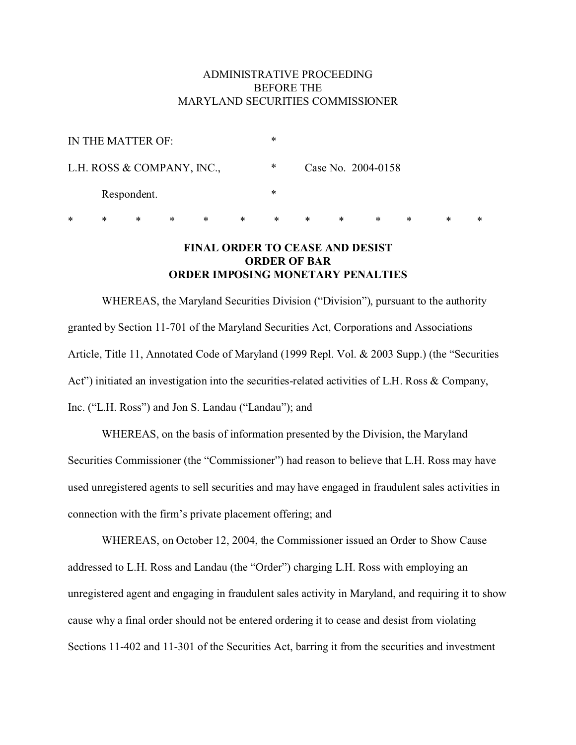## ADMINISTRATIVE PROCEEDING BEFORE THE MARYLAND SECURITIES COMMISSIONER

| IN THE MATTER OF:          | ∗ |                    |
|----------------------------|---|--------------------|
| L.H. ROSS & COMPANY, INC., | ∗ | Case No. 2004-0158 |
| Respondent.                | ∗ |                    |

\* \* \* \* \* \* \* \* \* \* \* \* \*

# **FINAL ORDER TO CEASE AND DESIST ORDER OF BAR ORDER IMPOSING MONETARY PENALTIES**

WHEREAS, the Maryland Securities Division ("Division"), pursuant to the authority granted by Section 11-701 of the Maryland Securities Act, Corporations and Associations Article, Title 11, Annotated Code of Maryland (1999 Repl. Vol. & 2003 Supp.) (the "Securities Act") initiated an investigation into the securities-related activities of L.H. Ross & Company, Inc. ("L.H. Ross") and Jon S. Landau ("Landau"); and

WHEREAS, on the basis of information presented by the Division, the Maryland Securities Commissioner (the "Commissioner") had reason to believe that L.H. Ross may have used unregistered agents to sell securities and may have engaged in fraudulent sales activities in connection with the firm's private placement offering; and

WHEREAS, on October 12, 2004, the Commissioner issued an Order to Show Cause addressed to L.H. Ross and Landau (the "Order") charging L.H. Ross with employing an unregistered agent and engaging in fraudulent sales activity in Maryland, and requiring it to show cause why a final order should not be entered ordering it to cease and desist from violating Sections 11-402 and 11-301 of the Securities Act, barring it from the securities and investment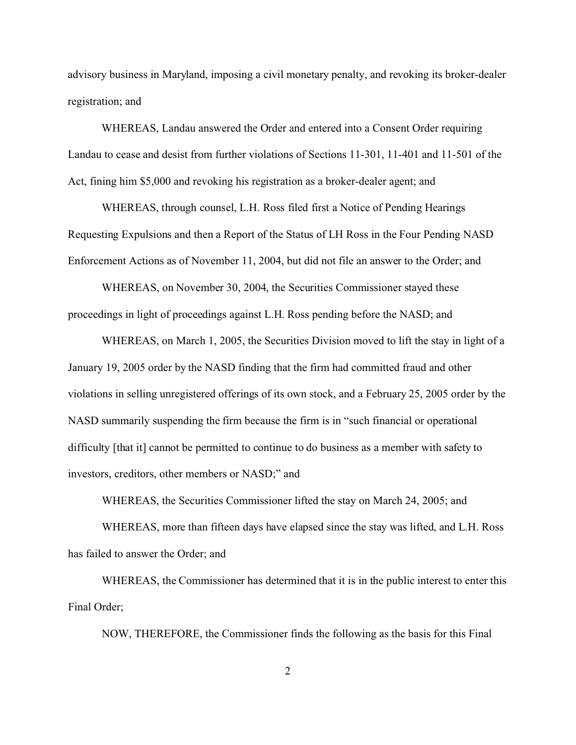advisory business in Maryland, imposing a civil monetary penalty, and revoking its broker-dealer registration; and

WHEREAS, Landau answered the Order and entered into a Consent Order requiring Landau to cease and desist from further violations of Sections 11-301, 11-401 and 11-501 of the Act, fining him \$5,000 and revoking his registration as a broker-dealer agent; and

WHEREAS, through counsel, L.H. Ross filed first a Notice of Pending Hearings Requesting Expulsions and then a Report of the Status of LH Ross in the Four Pending NASD Enforcement Actions as of November 11, 2004, but did not file an answer to the Order; and

WHEREAS, on November 30, 2004, the Securities Commissioner stayed these proceedings in light of proceedings against L.H. Ross pending before the NASD; and

WHEREAS, on March 1, 2005, the Securities Division moved to lift the stay in light of a January 19, 2005 order by the NASD finding that the firm had committed fraud and other violations in selling unregistered offerings of its own stock, and a February 25, 2005 order by the NASD summarily suspending the firm because the firm is in "such financial or operational difficulty [that it] cannot be permitted to continue to do business as a member with safety to investors, creditors, other members or NASD;" and

WHEREAS, the Securities Commissioner lifted the stay on March 24, 2005; and

WHEREAS, more than fifteen days have elapsed since the stay was lifted, and L.H. Ross has failed to answer the Order; and

WHEREAS, the Commissioner has determined that it is in the public interest to enter this Final Order;

NOW, THEREFORE, the Commissioner finds the following as the basis for this Final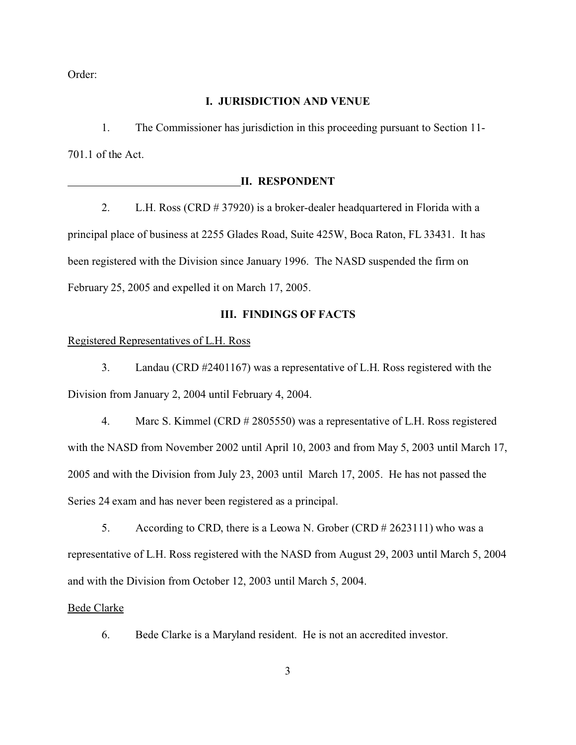Order:

### **I. JURISDICTION AND VENUE**

1. The Commissioner has jurisdiction in this proceeding pursuant to Section 11- 701.1 of the Act.

### **II. RESPONDENT**

2. L.H. Ross (CRD # 37920) is a broker-dealer headquartered in Florida with a principal place of business at 2255 Glades Road, Suite 425W, Boca Raton, FL 33431. It has been registered with the Division since January 1996. The NASD suspended the firm on February 25, 2005 and expelled it on March 17, 2005.

### **III. FINDINGS OF FACTS**

## Registered Representatives of L.H. Ross

3. Landau (CRD #2401167) was a representative of L.H. Ross registered with the Division from January 2, 2004 until February 4, 2004.

4. Marc S. Kimmel (CRD # 2805550) was a representative of L.H. Ross registered with the NASD from November 2002 until April 10, 2003 and from May 5, 2003 until March 17, 2005 and with the Division from July 23, 2003 until March 17, 2005. He has not passed the Series 24 exam and has never been registered as a principal.

5. According to CRD, there is a Leowa N. Grober (CRD # 2623111) who was a representative of L.H. Ross registered with the NASD from August 29, 2003 until March 5, 2004 and with the Division from October 12, 2003 until March 5, 2004.

#### Bede Clarke

6. Bede Clarke is a Maryland resident. He is not an accredited investor.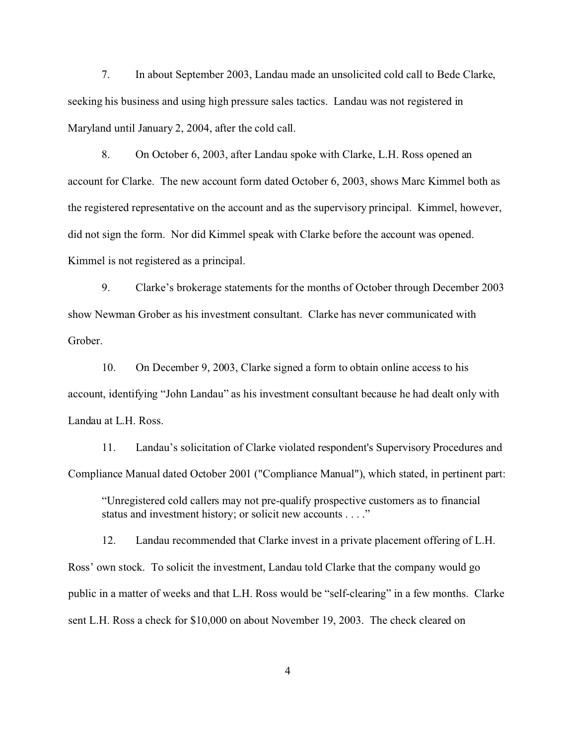7. In about September 2003, Landau made an unsolicited cold call to Bede Clarke, seeking his business and using high pressure sales tactics. Landau was not registered in Maryland until January 2, 2004, after the cold call.

8. On October 6, 2003, after Landau spoke with Clarke, L.H. Ross opened an account for Clarke. The new account form dated October 6, 2003, shows Marc Kimmel both as the registered representative on the account and as the supervisory principal. Kimmel, however, did not sign the form. Nor did Kimmel speak with Clarke before the account was opened. Kimmel is not registered as a principal.

9. Clarke's brokerage statements for the months of October through December 2003 show Newman Grober as his investment consultant. Clarke has never communicated with Grober.

10. On December 9, 2003, Clarke signed a form to obtain online access to his account, identifying "John Landau" as his investment consultant because he had dealt only with Landau at L.H. Ross.

11. Landau's solicitation of Clarke violated respondent's Supervisory Procedures and Compliance Manual dated October 2001 ("Compliance Manual"), which stated, in pertinent part:

"Unregistered cold callers may not pre-qualify prospective customers as to financial status and investment history; or solicit new accounts . . . ."

12. Landau recommended that Clarke invest in a private placement offering of L.H. Ross' own stock. To solicit the investment, Landau told Clarke that the company would go public in a matter of weeks and that L.H. Ross would be "self-clearing" in a few months. Clarke sent L.H. Ross a check for \$10,000 on about November 19, 2003. The check cleared on

4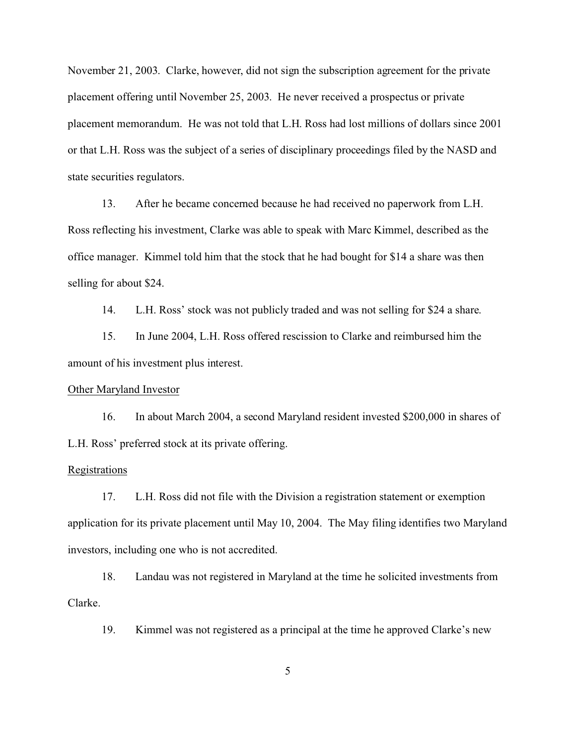November 21, 2003. Clarke, however, did not sign the subscription agreement for the private placement offering until November 25, 2003. He never received a prospectus or private placement memorandum. He was not told that L.H. Ross had lost millions of dollars since 2001 or that L.H. Ross was the subject of a series of disciplinary proceedings filed by the NASD and state securities regulators.

13. After he became concerned because he had received no paperwork from L.H. Ross reflecting his investment, Clarke was able to speak with Marc Kimmel, described as the office manager. Kimmel told him that the stock that he had bought for \$14 a share was then selling for about \$24.

14. L.H. Ross' stock was not publicly traded and was not selling for \$24 a share.

15. In June 2004, L.H. Ross offered rescission to Clarke and reimbursed him the amount of his investment plus interest.

### Other Maryland Investor

16. In about March 2004, a second Maryland resident invested \$200,000 in shares of L.H. Ross' preferred stock at its private offering.

#### **Registrations**

17. L.H. Ross did not file with the Division a registration statement or exemption application for its private placement until May 10, 2004. The May filing identifies two Maryland investors, including one who is not accredited.

18. Landau was not registered in Maryland at the time he solicited investments from Clarke.

19. Kimmel was not registered as a principal at the time he approved Clarke's new

5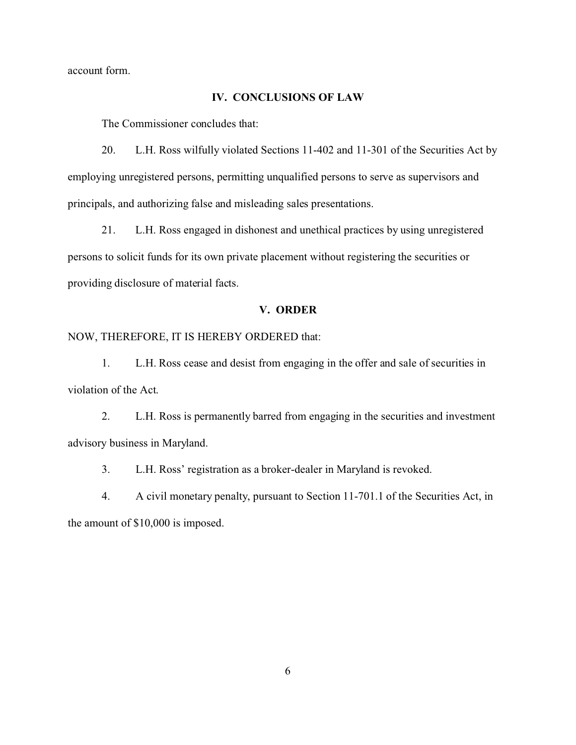account form.

#### **IV. CONCLUSIONS OF LAW**

The Commissioner concludes that:

20. L.H. Ross wilfully violated Sections 11-402 and 11-301 of the Securities Act by employing unregistered persons, permitting unqualified persons to serve as supervisors and principals, and authorizing false and misleading sales presentations.

21. L.H. Ross engaged in dishonest and unethical practices by using unregistered persons to solicit funds for its own private placement without registering the securities or providing disclosure of material facts.

### **V. ORDER**

NOW, THEREFORE, IT IS HEREBY ORDERED that:

1. L.H. Ross cease and desist from engaging in the offer and sale of securities in violation of the Act.

2. L.H. Ross is permanently barred from engaging in the securities and investment advisory business in Maryland.

3. L.H. Ross' registration as a broker-dealer in Maryland is revoked.

4. A civil monetary penalty, pursuant to Section 11-701.1 of the Securities Act, in the amount of \$10,000 is imposed.

6